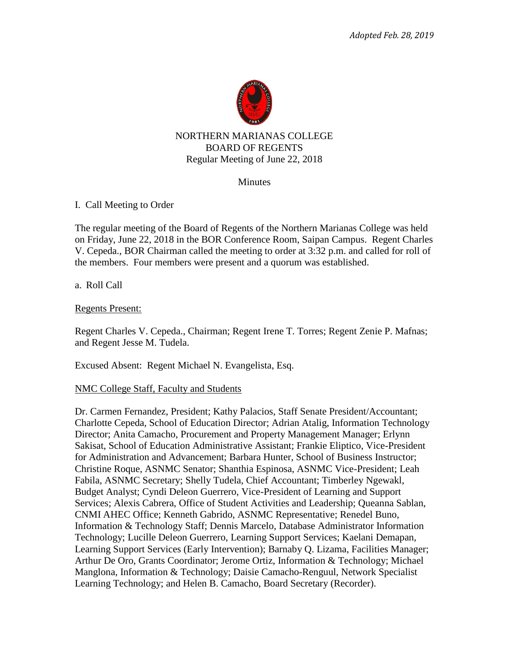

#### NORTHERN MARIANAS COLLEGE BOARD OF REGENTS Regular Meeting of June 22, 2018

#### **Minutes**

I. Call Meeting to Order

The regular meeting of the Board of Regents of the Northern Marianas College was held on Friday, June 22, 2018 in the BOR Conference Room, Saipan Campus. Regent Charles V. Cepeda., BOR Chairman called the meeting to order at 3:32 p.m. and called for roll of the members. Four members were present and a quorum was established.

a. Roll Call

#### Regents Present:

Regent Charles V. Cepeda., Chairman; Regent Irene T. Torres; Regent Zenie P. Mafnas; and Regent Jesse M. Tudela.

Excused Absent: Regent Michael N. Evangelista, Esq.

#### NMC College Staff, Faculty and Students

Dr. Carmen Fernandez, President; Kathy Palacios, Staff Senate President/Accountant; Charlotte Cepeda, School of Education Director; Adrian Atalig, Information Technology Director; Anita Camacho, Procurement and Property Management Manager; Erlynn Sakisat, School of Education Administrative Assistant; Frankie Eliptico, Vice-President for Administration and Advancement; Barbara Hunter, School of Business Instructor; Christine Roque, ASNMC Senator; Shanthia Espinosa, ASNMC Vice-President; Leah Fabila, ASNMC Secretary; Shelly Tudela, Chief Accountant; Timberley Ngewakl, Budget Analyst; Cyndi Deleon Guerrero, Vice-President of Learning and Support Services; Alexis Cabrera, Office of Student Activities and Leadership; Queanna Sablan, CNMI AHEC Office; Kenneth Gabrido, ASNMC Representative; Renedel Buno, Information & Technology Staff; Dennis Marcelo, Database Administrator Information Technology; Lucille Deleon Guerrero, Learning Support Services; Kaelani Demapan, Learning Support Services (Early Intervention); Barnaby Q. Lizama, Facilities Manager; Arthur De Oro, Grants Coordinator; Jerome Ortiz, Information & Technology; Michael Manglona, Information & Technology; Daisie Camacho-Renguul, Network Specialist Learning Technology; and Helen B. Camacho, Board Secretary (Recorder).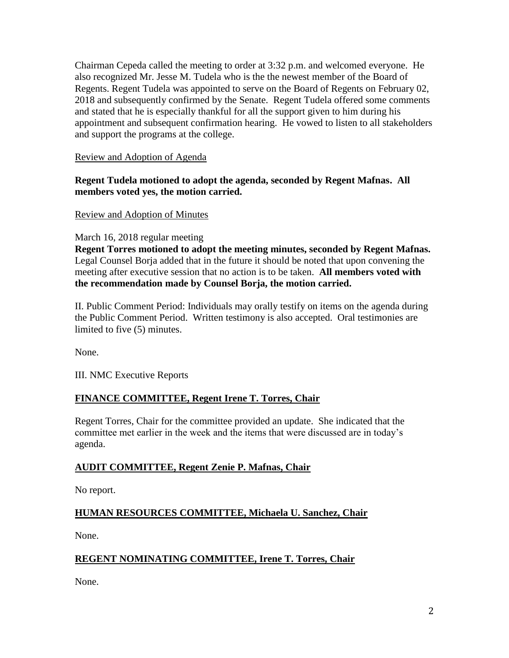Chairman Cepeda called the meeting to order at 3:32 p.m. and welcomed everyone. He also recognized Mr. Jesse M. Tudela who is the the newest member of the Board of Regents. Regent Tudela was appointed to serve on the Board of Regents on February 02, 2018 and subsequently confirmed by the Senate. Regent Tudela offered some comments and stated that he is especially thankful for all the support given to him during his appointment and subsequent confirmation hearing. He vowed to listen to all stakeholders and support the programs at the college.

# Review and Adoption of Agenda

# **Regent Tudela motioned to adopt the agenda, seconded by Regent Mafnas. All members voted yes, the motion carried.**

# Review and Adoption of Minutes

March 16, 2018 regular meeting

**Regent Torres motioned to adopt the meeting minutes, seconded by Regent Mafnas.**  Legal Counsel Borja added that in the future it should be noted that upon convening the meeting after executive session that no action is to be taken. **All members voted with the recommendation made by Counsel Borja, the motion carried.** 

II. Public Comment Period: Individuals may orally testify on items on the agenda during the Public Comment Period. Written testimony is also accepted. Oral testimonies are limited to five (5) minutes.

None.

III. NMC Executive Reports

# **FINANCE COMMITTEE, Regent Irene T. Torres, Chair**

Regent Torres, Chair for the committee provided an update. She indicated that the committee met earlier in the week and the items that were discussed are in today's agenda.

# **AUDIT COMMITTEE, Regent Zenie P. Mafnas, Chair**

No report.

# **HUMAN RESOURCES COMMITTEE, Michaela U. Sanchez, Chair**

None.

# **REGENT NOMINATING COMMITTEE, Irene T. Torres, Chair**

None.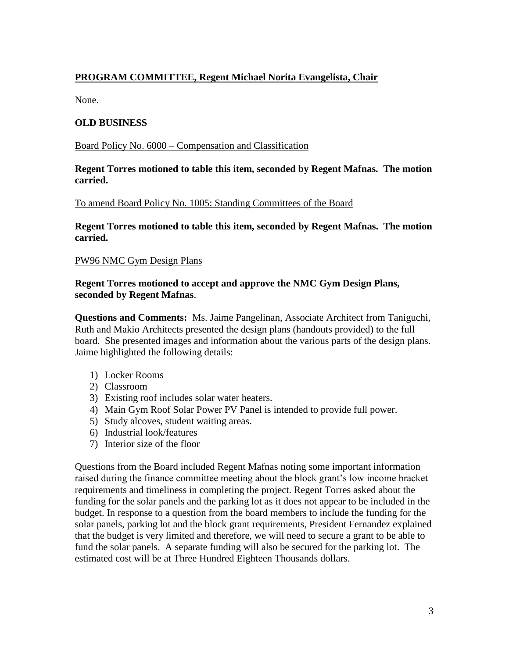# **PROGRAM COMMITTEE, Regent Michael Norita Evangelista, Chair**

None.

# **OLD BUSINESS**

Board Policy No. 6000 – Compensation and Classification

#### **Regent Torres motioned to table this item, seconded by Regent Mafnas. The motion carried.**

To amend Board Policy No. 1005: Standing Committees of the Board

**Regent Torres motioned to table this item, seconded by Regent Mafnas. The motion carried.** 

#### PW96 NMC Gym Design Plans

#### **Regent Torres motioned to accept and approve the NMC Gym Design Plans, seconded by Regent Mafnas**.

**Questions and Comments:** Ms. Jaime Pangelinan, Associate Architect from Taniguchi, Ruth and Makio Architects presented the design plans (handouts provided) to the full board. She presented images and information about the various parts of the design plans. Jaime highlighted the following details:

- 1) Locker Rooms
- 2) Classroom
- 3) Existing roof includes solar water heaters.
- 4) Main Gym Roof Solar Power PV Panel is intended to provide full power.
- 5) Study alcoves, student waiting areas.
- 6) Industrial look/features
- 7) Interior size of the floor

Questions from the Board included Regent Mafnas noting some important information raised during the finance committee meeting about the block grant's low income bracket requirements and timeliness in completing the project. Regent Torres asked about the funding for the solar panels and the parking lot as it does not appear to be included in the budget. In response to a question from the board members to include the funding for the solar panels, parking lot and the block grant requirements, President Fernandez explained that the budget is very limited and therefore, we will need to secure a grant to be able to fund the solar panels. A separate funding will also be secured for the parking lot. The estimated cost will be at Three Hundred Eighteen Thousands dollars.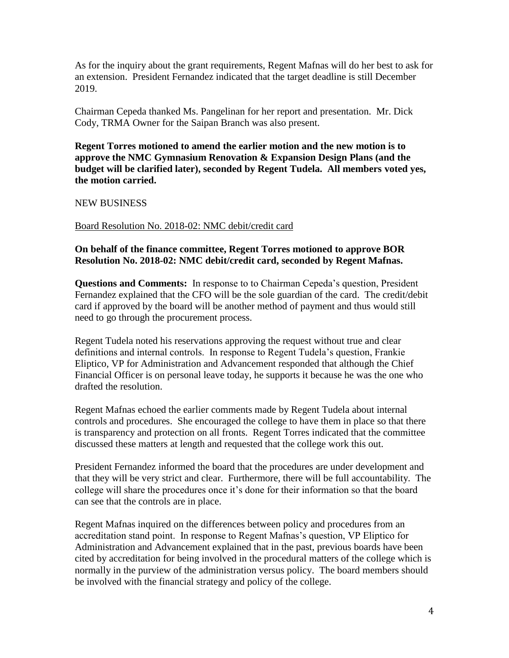As for the inquiry about the grant requirements, Regent Mafnas will do her best to ask for an extension. President Fernandez indicated that the target deadline is still December 2019.

Chairman Cepeda thanked Ms. Pangelinan for her report and presentation. Mr. Dick Cody, TRMA Owner for the Saipan Branch was also present.

**Regent Torres motioned to amend the earlier motion and the new motion is to approve the NMC Gymnasium Renovation & Expansion Design Plans (and the budget will be clarified later), seconded by Regent Tudela. All members voted yes, the motion carried.** 

NEW BUSINESS

#### Board Resolution No. 2018-02: NMC debit/credit card

# **On behalf of the finance committee, Regent Torres motioned to approve BOR Resolution No. 2018-02: NMC debit/credit card, seconded by Regent Mafnas.**

**Questions and Comments:** In response to to Chairman Cepeda's question, President Fernandez explained that the CFO will be the sole guardian of the card. The credit/debit card if approved by the board will be another method of payment and thus would still need to go through the procurement process.

Regent Tudela noted his reservations approving the request without true and clear definitions and internal controls. In response to Regent Tudela's question, Frankie Eliptico, VP for Administration and Advancement responded that although the Chief Financial Officer is on personal leave today, he supports it because he was the one who drafted the resolution.

Regent Mafnas echoed the earlier comments made by Regent Tudela about internal controls and procedures. She encouraged the college to have them in place so that there is transparency and protection on all fronts. Regent Torres indicated that the committee discussed these matters at length and requested that the college work this out.

President Fernandez informed the board that the procedures are under development and that they will be very strict and clear. Furthermore, there will be full accountability. The college will share the procedures once it's done for their information so that the board can see that the controls are in place.

Regent Mafnas inquired on the differences between policy and procedures from an accreditation stand point. In response to Regent Mafnas's question, VP Eliptico for Administration and Advancement explained that in the past, previous boards have been cited by accreditation for being involved in the procedural matters of the college which is normally in the purview of the administration versus policy. The board members should be involved with the financial strategy and policy of the college.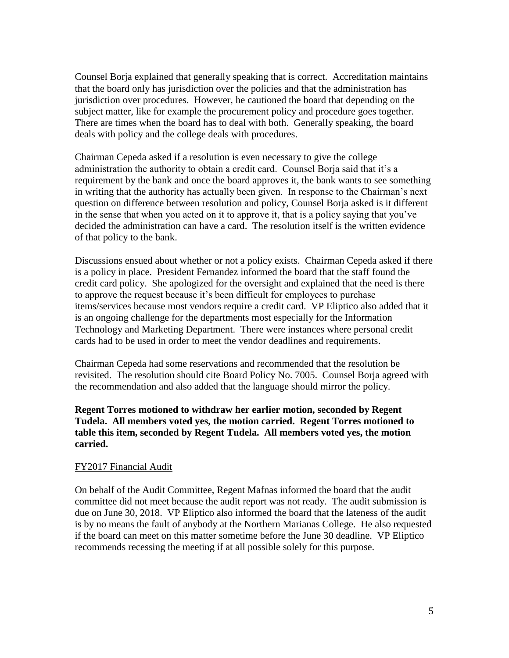Counsel Borja explained that generally speaking that is correct. Accreditation maintains that the board only has jurisdiction over the policies and that the administration has jurisdiction over procedures. However, he cautioned the board that depending on the subject matter, like for example the procurement policy and procedure goes together. There are times when the board has to deal with both. Generally speaking, the board deals with policy and the college deals with procedures.

Chairman Cepeda asked if a resolution is even necessary to give the college administration the authority to obtain a credit card. Counsel Borja said that it's a requirement by the bank and once the board approves it, the bank wants to see something in writing that the authority has actually been given. In response to the Chairman's next question on difference between resolution and policy, Counsel Borja asked is it different in the sense that when you acted on it to approve it, that is a policy saying that you've decided the administration can have a card. The resolution itself is the written evidence of that policy to the bank.

Discussions ensued about whether or not a policy exists. Chairman Cepeda asked if there is a policy in place. President Fernandez informed the board that the staff found the credit card policy. She apologized for the oversight and explained that the need is there to approve the request because it's been difficult for employees to purchase items/services because most vendors require a credit card. VP Eliptico also added that it is an ongoing challenge for the departments most especially for the Information Technology and Marketing Department. There were instances where personal credit cards had to be used in order to meet the vendor deadlines and requirements.

Chairman Cepeda had some reservations and recommended that the resolution be revisited. The resolution should cite Board Policy No. 7005. Counsel Borja agreed with the recommendation and also added that the language should mirror the policy.

#### **Regent Torres motioned to withdraw her earlier motion, seconded by Regent Tudela. All members voted yes, the motion carried. Regent Torres motioned to table this item, seconded by Regent Tudela. All members voted yes, the motion carried.**

#### FY2017 Financial Audit

On behalf of the Audit Committee, Regent Mafnas informed the board that the audit committee did not meet because the audit report was not ready. The audit submission is due on June 30, 2018. VP Eliptico also informed the board that the lateness of the audit is by no means the fault of anybody at the Northern Marianas College. He also requested if the board can meet on this matter sometime before the June 30 deadline. VP Eliptico recommends recessing the meeting if at all possible solely for this purpose.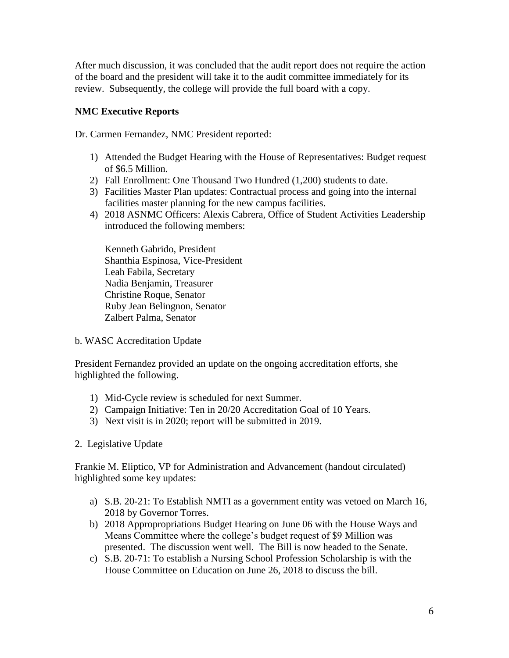After much discussion, it was concluded that the audit report does not require the action of the board and the president will take it to the audit committee immediately for its review. Subsequently, the college will provide the full board with a copy.

# **NMC Executive Reports**

Dr. Carmen Fernandez, NMC President reported:

- 1) Attended the Budget Hearing with the House of Representatives: Budget request of \$6.5 Million.
- 2) Fall Enrollment: One Thousand Two Hundred (1,200) students to date.
- 3) Facilities Master Plan updates: Contractual process and going into the internal facilities master planning for the new campus facilities.
- 4) 2018 ASNMC Officers: Alexis Cabrera, Office of Student Activities Leadership introduced the following members:

Kenneth Gabrido, President Shanthia Espinosa, Vice-President Leah Fabila, Secretary Nadia Benjamin, Treasurer Christine Roque, Senator Ruby Jean Belingnon, Senator Zalbert Palma, Senator

b. WASC Accreditation Update

President Fernandez provided an update on the ongoing accreditation efforts, she highlighted the following.

- 1) Mid-Cycle review is scheduled for next Summer.
- 2) Campaign Initiative: Ten in 20/20 Accreditation Goal of 10 Years.
- 3) Next visit is in 2020; report will be submitted in 2019.
- 2. Legislative Update

Frankie M. Eliptico, VP for Administration and Advancement (handout circulated) highlighted some key updates:

- a) S.B. 20-21: To Establish NMTI as a government entity was vetoed on March 16, 2018 by Governor Torres.
- b) 2018 Appropropriations Budget Hearing on June 06 with the House Ways and Means Committee where the college's budget request of \$9 Million was presented. The discussion went well. The Bill is now headed to the Senate.
- c) S.B. 20-71: To establish a Nursing School Profession Scholarship is with the House Committee on Education on June 26, 2018 to discuss the bill.